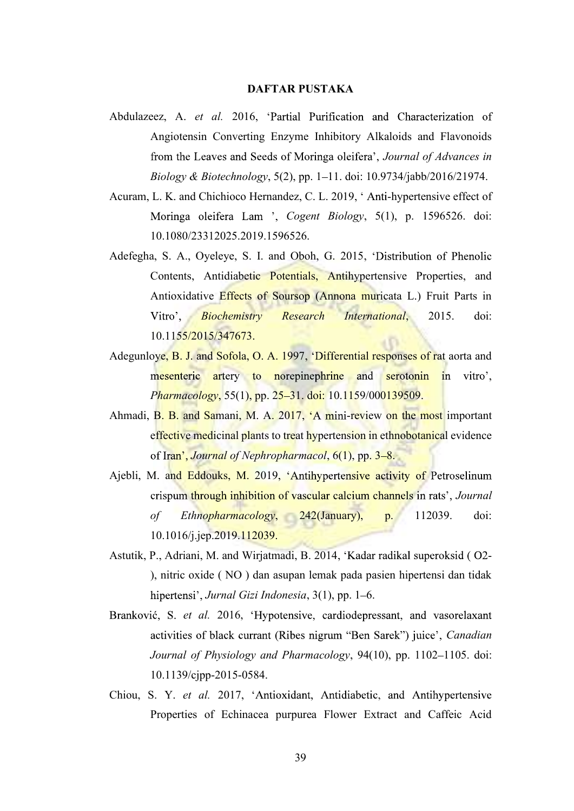## DAFTAR PUSTAKA

- Abdulazeez, A. et al. 2016, 'Partial Purification and Characterization of Angiotensin Converting Enzyme Inhibitory Alkaloids and Flavonoids from the Leaves and Seeds of Moringa oleifera', Journal of Advances in Biology & Biotechnology,  $5(2)$ , pp. 1–11. doi: 10.9734/jabb/2016/21974.
- Acuram, L. K. and Chichioco Hernandez, C. L. 2019, 'Anti-hypertensive effect of Moringa oleifera Lam ', Cogent Biology, 5(1), p. 1596526. doi: 10.1080/23312025.2019.1596526.
- Adefegha, S. A., Oyeleye, S. I. and Oboh, G. 2015, 'Distribution of Phenolic Contents, Antidiabetic Potentials, Antihypertensive Properties, and Antioxidative Effects of Soursop (Annona muricata L.) Fruit Parts in Vitro',  $\blacksquare$ **Biochemistry Research International, 2015.** doi: 10.1155/2015/347673.
- Adegunloye, B. J. and Sofola, O. A. 1997, 'Differential responses of rat aorta and mesenteric artery to norepinephrine and serotonin in vitro', Pharmacology, 55(1), pp. 25–31. doi: 10.1159/000139509.
- Ahmadi, B. B. and Samani, M. A. 2017, 'A mini-review on the most important effective medicinal plants to treat hypertension in ethnobotanical evidence of Iran', Journal of Nephropharmacol,  $6(1)$ , pp.  $3-8$ .
- Ajebli, M. and Eddouks, M. 2019, 'Antihypertensive activity of Petroselinum crispum through inhibition of vascular calcium channels in rats', Journal of Ethnopharmacology,  $242$ (January), p. 112039. doi: 10.1016/j.jep.2019.112039.
- Astutik, P., Adriani, M. and Wirjatmadi, B. 2014, 'Kadar radikal superoksid (O2-<br>), nitric oxide ( NO ) dan asupan lemak pada pasien hipertensi dan tidak hipertensi', Jurnal Gizi Indonesia, 3(1), pp. 1–6.
- Branković, S. et al. 2016, 'Hypotensive, cardiodepressant, and vasorelaxant activities of black currant (Ribes nigrum "Ben Sarek") juice', *Canadian* Journal of Physiology and Pharmacology, 94(10), pp. 1102–1105. doi: 10.1139/cjpp-2015-0584.
- Chiou, S. Y. et al. 2017, 'Antioxidant, Antidiabetic, and Antihypertensive Properties of Echinacea purpurea Flower Extract and Caffeic Acid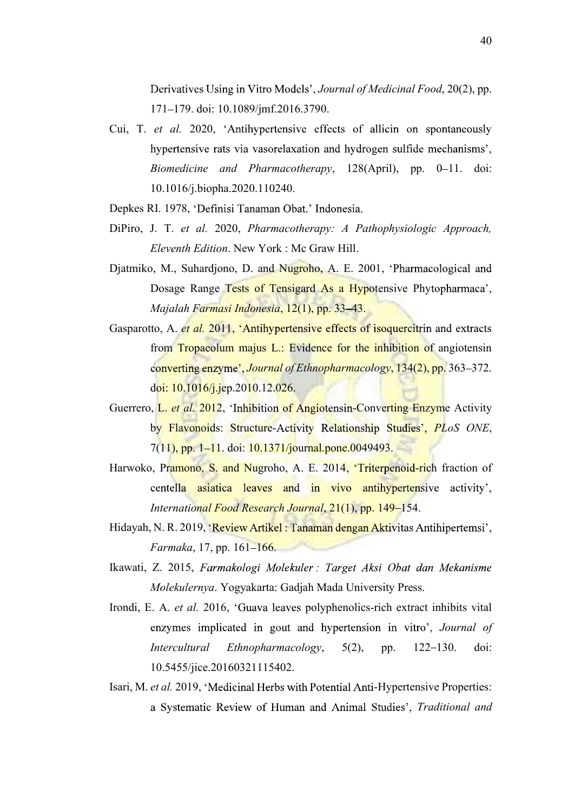Derivatives Using in Vitro Models', Journal of Medicinal Food, 20(2), pp. 171 179. doi: 10.1089/jmf.2016.3790.

- Cui, T. et al. 2020, 'Antihypertensive effects of allicin on spontaneously hypertensive rats via vasorelaxation and hydrogen sulfide mechanisms', Biomedicine and Pharmacotherapy, 128(April), pp. 0-11. doi: 10.1016/j.biopha.2020.110240.
- Depkes RI. 1978, 'Definisi Tanaman Obat.' Indonesia.
- DiPiro, J. T. et al. 2020, Pharmacotherapy: A Pathophysiologic Approach, Eleventh Edition. New York : Mc Graw Hill.
- Djatmiko, M., Suhardjono, D. and Nugroho, A. E. 2001, 'Pharmacological and Dosage Range Tests of Tensigard As a Hypotensive Phytopharmaca', Majalah Farmasi Indonesia, 12(1), pp. 33–43.
- Gasparotto, A. et al. 2011, 'Antihypertensive effects of isoquercitrin and extracts from Tropaeolum majus L.: Evidence for the inhibition of angiotensin converting enzyme', *Journal of Ethnopharmacology*, 134(2), pp. 363–372. doi: 10.1016/j.jep.2010.12.026.
- Guerrero, L. et al. 2012, 'Inhibition of Angiotensin-Converting Enzyme Activity by Flavonoids: Structure-Activity Relationship Studies', PLoS ONE,<br>7(11), pp. 1–11. doi: 10.1371/journal.pone.0049493.
- Harwoko, Pramono, S. and Nugroho, A. E. 2014, 'Triterpenoid-rich fraction of centella asiatica leaves and in vivo antihypertensive activity', International Food Research Journal, 21(1), pp. 149–154.
- Hidayah, N. R. 2019, 'Review Artikel: Tanaman dengan Aktivitas Antihipertemsi', Farmaka, 17, pp.  $161 - 166$ .
- Ikawati, Z. 2015, Farmakologi Molekuler: Target Aksi Obat dan Mekanisme Molekulernya. Yogyakarta: Gadjah Mada University Press.
- Irondi, E. A. et al. 2016, 'Guava leaves polyphenolics-rich extract inhibits vital enzymes implicated in gout and hypertension in vitro', *Journal of* Intercultural Ethnopharmacology, 5(2), pp. 122-130. doi: 10.5455/jice.20160321115402.
- Isari, M. et al. 2019, 'Medicinal Herbs with Potential Anti-Hypertensive Properties: a Systematic Review of Human and Animal Studies', Traditional and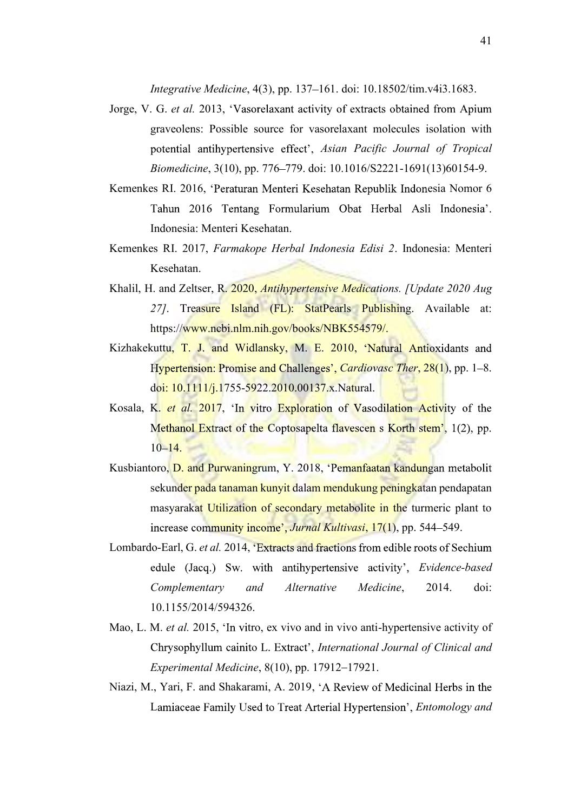Integrative Medicine, 4(3), pp. 137 161. doi: 10.18502/tim.v4i3.1683.

- Jorge, V. G. et al. 2013, 'Vasorelaxant activity of extracts obtained from Apium graveolens: Possible source for vasorelaxant molecules isolation with potential antihypertensive effect', Asian Pacific Journal of Tropical Biomedicine, 3(10), pp. 776–779. doi: 10.1016/S2221-1691(13)60154-9.
- Kemenkes RI. 2016, 'Peraturan Menteri Kesehatan Republik Indonesia Nomor 6 Tahun 2016 Tentang Formularium Obat Herbal Asli Indonesia'. Indonesia: Menteri Kesehatan.
- Kemenkes RI. 2017, Farmakope Herbal Indonesia Edisi 2. Indonesia: Menteri Kesehatan.
- Khalil, H. and Zeltser, R. 2020, *Antihypertensive Medications. [Update 2020 Aug* 27]. Treasure Island (FL): StatPearls Publishing. Available at: https://www.ncbi.nlm.nih.gov/books/NBK554579/.
- Kizhakekuttu, T. J. and Widlansky, M. E. 2010, 'Natural Antioxidants and Hypertension: Promise and Challenges', *Cardiovasc Ther*, 28(1), pp. 1–8. doi: 10.1111/j.1755-5922.2010.00137.x.Natural.
- Kosala, K. *et al.* 2017, 'In vitro Exploration of Vasodilation Activity of the Methanol Extract of the Coptosapelta flavescen s Korth stem', 1(2), pp.  $10 - 14.$
- Kusbiantoro, D. and Purwaningrum, Y. 2018, 'Pemanfaatan kandungan metabolit sekunder pada tanaman kunyit dalam mendukung peningkatan pendapatan masyarakat Utilization of secondary metabolite in the turmeric plant to increase community income', Jurnal Kultivasi, 17(1), pp. 544–549.
- Lombardo-Earl, G. et al. 2014, 'Extracts and fractions from edible roots of Sechium edule (Jacq.) Sw. with antihypertensive activity', *Evidence-based* Complementary and Alternative Medicine, 2014. doi: 10.1155/2014/594326.
- Mao, L. M. et al. 2015, 'In vitro, ex vivo and in vivo anti-hypertensive activity of Chrysophyllum cainito L. Extract', International Journal of Clinical and Experimental Medicine,  $8(10)$ , pp. 17912-17921.
- Niazi, M., Yari, F. and Shakarami, A. 2019, 'A Review of Medicinal Herbs in the Lamiaceae Family Used to Treat Arterial Hypertension', *Entomology and*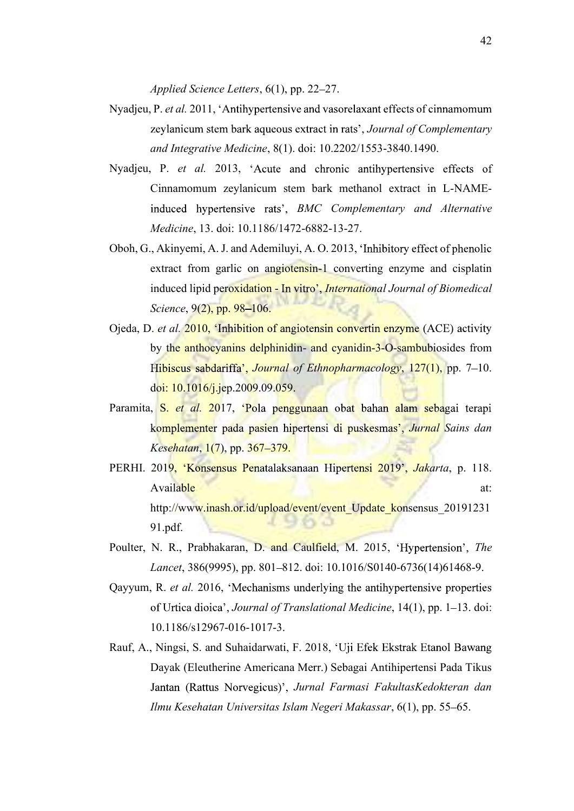Applied Science Letters, 6(1), pp. 22-27.

- Nyadjeu, P. et al. 2011, 'Antihypertensive and vasorelaxant effects of cinnamomum zeylanicum stem bark aqueous extract in rats', Journal of Complementary and Integrative Medicine, 8(1). doi: 10.2202/1553-3840.1490.
- Nyadjeu, P. et al. 2013, 'Acute and chronic antihypertensive effects of Cinnamomum zeylanicum stem bark methanol extract in L-NAMEinduced hypertensive rats', BMC Complementary and Alternative Medicine, 13. doi: 10.1186/1472-6882-13-27.
- Oboh, G., Akinyemi, A. J. and Ademiluyi, A. O. 2013, extract from garlic on angiotensin-1 converting enzyme and cisplatin induced lipid peroxidation - In vitro', International Journal of Biomedical Science, 9(2), pp. 98-106.
- Ojeda, D. et al. 2010, 'Inhibition of angiotensin convertin enzyme (ACE) activity by the anthocyanins delphinidin- and cyanidin-3-O-sambubiosides from Hibiscus sabdariffa', Journal of Ethnopharmacology, 127(1), pp. 7–10. doi: 10.1016/j.jep.2009.09.059.
- Paramita, S. et al. 2017, Pola penggunaan obat bahan alam sebagai terapi komplementer pada pasien hipertensi di puskesmas', Jurnal Sains dan Kesehatan, 1(7), pp. 367–379.
- PERHI. 2019, 'Konsensus Penatalaksanaan Hipertensi 2019', Jakarta, p. 118. Available at: http://www.inash.or.id/upload/event/event\_Update\_konsensus\_20191231 900 91.pdf.
- Poulter, N. R., Prabhakaran, D. and Caulfield, M. 2015, 'Hypertension', The Lancet, 386(9995), pp. 801-812. doi: 10.1016/S0140-6736(14)61468-9.
- Qayyum, R. et al. 2016, 'Mechanisms underlying the antihypertensive properties of Urtica dioica', Journal of Translational Medicine, 14(1), pp. 1-13. doi: 10.1186/s12967-016-1017-3.
- Rauf, A., Ningsi, S. and Suhaidarwati, F. 2018, 'Uji Efek Ekstrak Etanol Bawang Dayak (Eleutherine Americana Merr.) Sebagai Antihipertensi Pada Tikus Jantan (Rattus Norvegicus)', Jurnal Farmasi FakultasKedokteran dan Ilmu Kesehatan Universitas Islam Negeri Makassar, 6(1), pp. 55–65.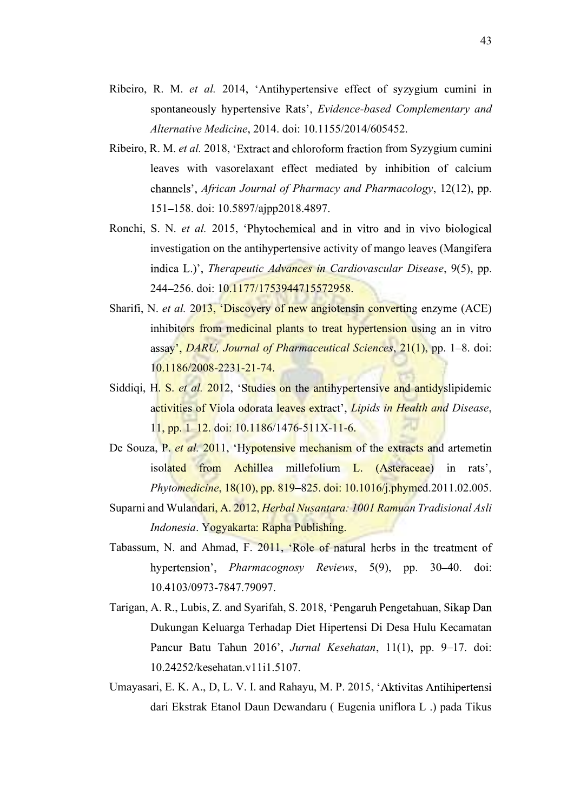- Ribeiro, R. M. et al. 2014, 'Antihypertensive effect of syzygium cumini in spontaneously hypertensive Rats', Evidence-based Complementary and Alternative Medicine, 2014. doi: 10.1155/2014/605452.
- Ribeiro, R. M. et al. 2018, 'Extract and chloroform fraction from Syzygium cumini leaves with vasorelaxant effect mediated by inhibition of calcium channels', African Journal of Pharmacy and Pharmacology, 12(12), pp. 151 158. doi: 10.5897/ajpp2018.4897.
- Ronchi, S. N. et al. 2015, 'Phytochemical and in vitro and in vivo biological investigation on the antihypertensive activity of mango leaves (Mangifera indica L.)', Therapeutic Advances in Cardiovascular Disease, 9(5), pp. 244 - 256. doi: 10.1177/1753944715572958.
- Sharifi, N. et al. 2013, 'Discovery of new angiotensin converting enzyme (ACE) inhibitors from medicinal plants to treat hypertension using an in vitro assay', *DARU*, *Journal of Pharmaceutical Sciences*, 21(1), pp. 1–8. doi: 10.1186/2008-2231-21-74.
- Siddiqi, H. S. et al. 2012, 'Studies on the antihypertensive and antidyslipidemic activities of Viola odorata leaves extract', Lipids in Health and Disease,<br>11, pp. 1–12. doi: 10.1186/1476-511X-11-6.
- De Souza, P. et al. 2011, 'Hypotensive mechanism of the extracts and artemetin isolated from Achillea millefolium L. (Asteraceae) in rats', Phytomedicine, 18(10), pp. 819–825. doi: 10.1016/j.phymed.2011.02.005.
- Suparni and Wulandari, A. 2012, Herbal Nusantara: 1001 Ramuan Tradisional Asli Indonesia. Yogyakarta: Rapha Publishing.
- Tabassum, N. and Ahmad, F. 2011, 'Role of natural herbs in the treatment of hypertension', *Pharmacognosy Reviews*, 5(9), pp. 30–40. doi: 10.4103/0973-7847.79097.
- Tarigan, A. R., Lubis, Z. and Syarifah, S. 2018, 'Pengaruh Pengetahuan, Sikap Dan Dukungan Keluarga Terhadap Diet Hipertensi Di Desa Hulu Kecamatan Pancur Batu Tahun 2016', Jurnal Kesehatan, 11(1), pp. 9-17. doi: 10.24252/kesehatan.v11i1.5107.
- Umayasari, E. K. A., D, L. V. I. and Rahayu, M. P. 2015, 'Aktivitas Antihipertensi dari Ekstrak Etanol Daun Dewandaru ( Eugenia uniflora L .) pada Tikus